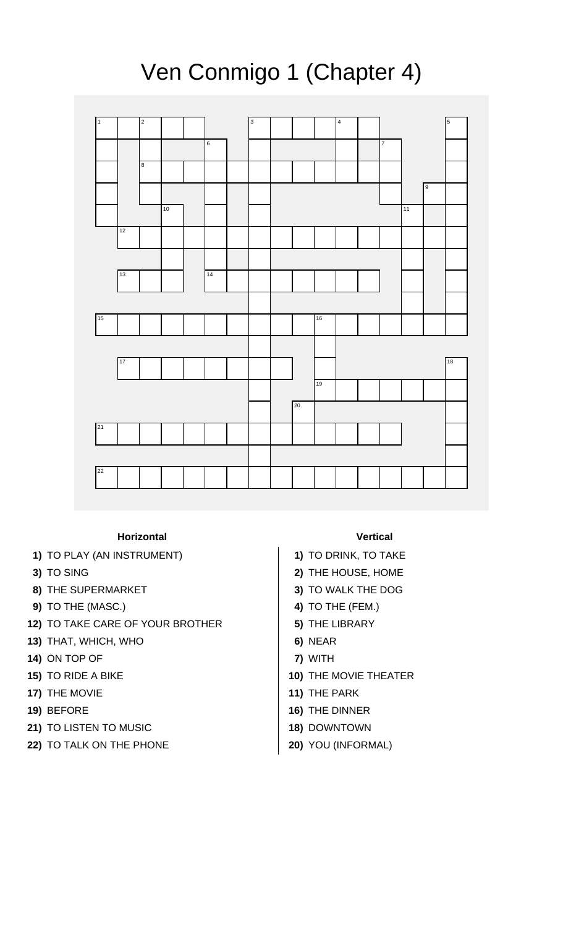

## Ven Conmigo 1 (Chapter 4)

## **Horizontal Vertical**

- **1)** TO PLAY (AN INSTRUMENT) **1)** TO DRINK, TO TAKE
- 
- **8)** THE SUPERMARKET **3)** TO WALK THE DOG
- **9)** TO THE (MASC.) **4)** TO THE (FEM.)
- **12)** TO TAKE CARE OF YOUR BROTHER **5)** THE LIBRARY
- **13)** THAT, WHICH, WHO **6)** NEAR
- **14)** ON TOP OF **7)** WITH
- 
- **17)** THE MOVIE **11 11**
- 
- **21)** TO LISTEN TO MUSIC **18)** DOWNTOWN
- **22)** TO TALK ON THE PHONE **20)** YOU (INFORMAL)

- 
- **3)** TO SING **2)** THE HOUSE, HOME
	-
	-
	-
	-
	-
- **15)** TO RIDE A BIKE **10)** THE MOVIE THEATER
	-
- **19)** BEFORE **16)** THE DINNER
	-
	-